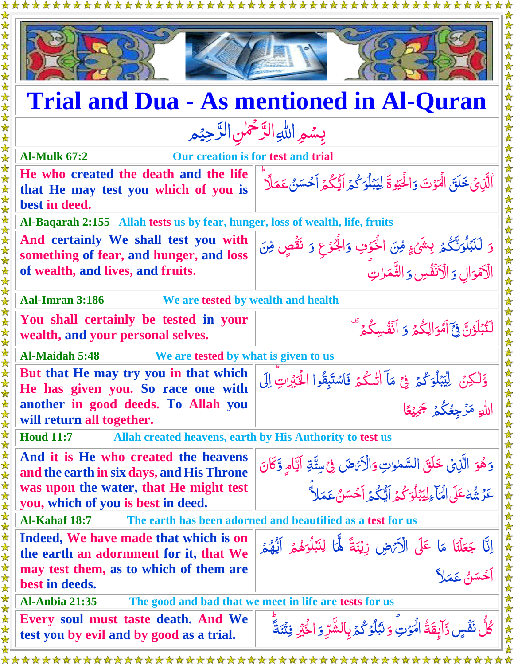

## **Trial and Dua - As mentioned in Al-Quran**

## بِسُمِ اللهِ الرَّحْمٰنِ الرَّحِيْمِ  $\frac{1}{2}$ رّ<br>\_  $\frac{1}{2}$ رّ<br>\_

| <b>Al-Mulk 67:2</b><br><b>Our creation is for test and trial</b>                               |                                                                                                                        |
|------------------------------------------------------------------------------------------------|------------------------------------------------------------------------------------------------------------------------|
| He who created the death and the life<br>that He may test you which of you is<br>best in deed. | ٱلَّذِيۡ خَلَقَ الۡمَوۡتَ وَالٰۡٓكَيۡوِ ۚ ۚ لِيَبۡلُوَ كُمۡ ٱلۡيُكُمۡ اَحۡسَنُ عَمَلَآ                                 |
| Al-Baqarah 2:155 Allah tests us by fear, hunger, loss of wealth, life, fruits                  |                                                                                                                        |
| And certainly We shall test you with<br>something of fear, and hunger, and loss                | وَ لَنَبۡلُوَنَّكُمۡ بِشَىۡۚ مِّنَ الۡخَوۡفِ وَالۡجُوۡعِ وَ نَقۡصٍ مِّنَ<br>الۡاَمۡوَالِ وَ الۡاَنۡفُسِ وَ الثَّمَرٰتِ |
| of wealth, and lives, and fruits.                                                              |                                                                                                                        |
| <b>Aal-Imran 3:186</b><br>We are tested by wealth and health                                   |                                                                                                                        |
| You shall certainly be tested in your<br>wealth, and your personal selves.                     | لَنُّبۡلَوُنَّ فِيَٓ أَمۡوَالِكُمۡ وَ أَنۡفُسِكُمۡ ۗ                                                                   |
| <b>Al-Maidah 5:48</b><br>We are tested by what is given to us                                  |                                                                                                                        |
| But that He may try you in that which<br>He has given you. So race one with                    | وَّلْكِنْ لِيَّبْلُوَكُمۡ فِيۡ مَآ الْمَكُمۡ فَاسْتَبِقُوا الْحَيۡرِٰتِ إِلَى                                          |
| another in good deeds. To Allah you<br>will return all together.                               | اللهِ مَرْجِعُكُمُ جَمِيْعًا                                                                                           |
| Allah created heavens, earth by His Authority to test us<br><b>Houd 11:7</b>                   |                                                                                                                        |
| And it is He who created the heavens<br>and the earth in six days, and His Throne              | وَهُوَ الَّذِيْ خَلَقَ السَّمٰوٰتِ وَالْأَنْهَضَ فِي سِتَّةِ أَيَّامٍ وَّكَانَ                                         |
| was upon the water, that He might test<br>you, which of you is best in deed.                   | عَزْشُهُ عَلَى الْمَأْءِلِيَبْلُوَكُمْ أَيُّكُمْ أَحْسَنُ عَمَلاً                                                      |
| Al-Kahaf 18:7 The earth has been adorned and beautified as a test for us                       |                                                                                                                        |
| Indeed, We have made that which is on<br>the earth an adornment for it, that We                | اِنَّا جَعَلْنَا مَا عَلَى الْأَتْهِ زِيْنَةً لَّمَا لِنَبَلُوَهُمۡ اَيُّهُمۡ<br>اَحۡسَنُ عَمَلاً                      |
| may test them, as to which of them are<br>best in deeds.                                       |                                                                                                                        |
| The good and bad that we meet in life are tests for us<br><b>Al-Anbia 21:35</b>                |                                                                                                                        |
| Every soul must taste death. And We<br>test you by evil and by good as a trial.                | كُلُّ نَفۡسٍ ذَآبِقَةُ الۡمَوۡتِ ۚ وَنَبۡلُوۡ كُمۡ بِالشَّرِّ وَ الۡخَيۡرِ فِتۡنَةً ۚ                                  |
|                                                                                                |                                                                                                                        |